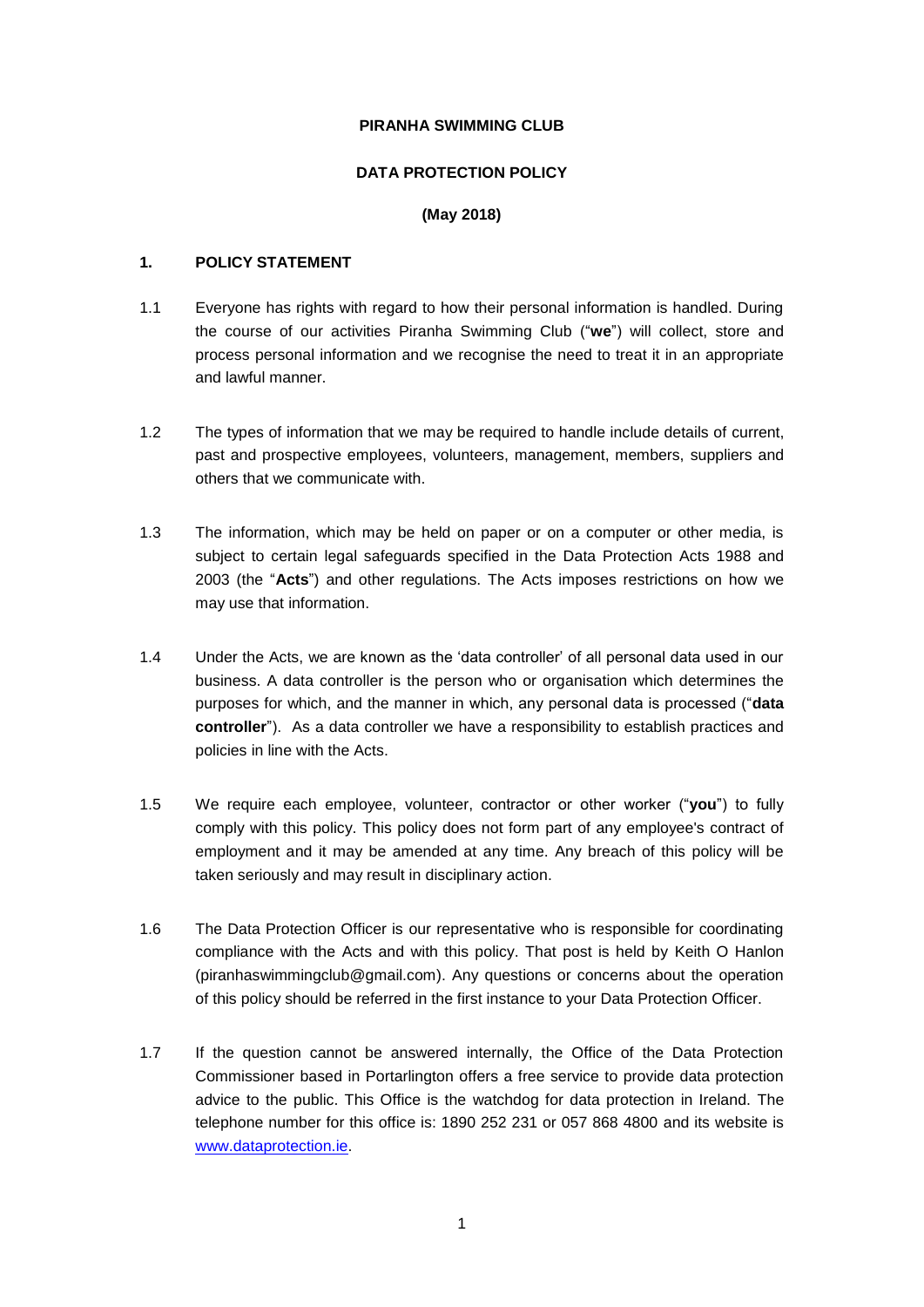#### **PIRANHA SWIMMING CLUB**

#### **DATA PROTECTION POLICY**

#### **(May 2018)**

#### **1. POLICY STATEMENT**

- 1.1 Everyone has rights with regard to how their personal information is handled. During the course of our activities Piranha Swimming Club ("**we**") will collect, store and process personal information and we recognise the need to treat it in an appropriate and lawful manner.
- 1.2 The types of information that we may be required to handle include details of current, past and prospective employees, volunteers, management, members, suppliers and others that we communicate with.
- 1.3 The information, which may be held on paper or on a computer or other media, is subject to certain legal safeguards specified in the Data Protection Acts 1988 and 2003 (the "**Acts**") and other regulations. The Acts imposes restrictions on how we may use that information.
- 1.4 Under the Acts, we are known as the 'data controller' of all personal data used in our business. A data controller is the person who or organisation which determines the purposes for which, and the manner in which, any personal data is processed ("**data controller**"). As a data controller we have a responsibility to establish practices and policies in line with the Acts.
- 1.5 We require each employee, volunteer, contractor or other worker ("**you**") to fully comply with this policy. This policy does not form part of any employee's contract of employment and it may be amended at any time. Any breach of this policy will be taken seriously and may result in disciplinary action.
- 1.6 The Data Protection Officer is our representative who is responsible for coordinating compliance with the Acts and with this policy. That post is held by Keith O Hanlon (piranhaswimmingclub@gmail.com). Any questions or concerns about the operation of this policy should be referred in the first instance to your Data Protection Officer.
- <span id="page-0-0"></span>1.7 If the question cannot be answered internally, the Office of the Data Protection Commissioner based in Portarlington offers a free service to provide data protection advice to the public. This Office is the watchdog for data protection in Ireland. The telephone number for this office is: 1890 252 231 or 057 868 4800 and its website is [www.dataprotection.ie.](http://www.dataprotection.ie/)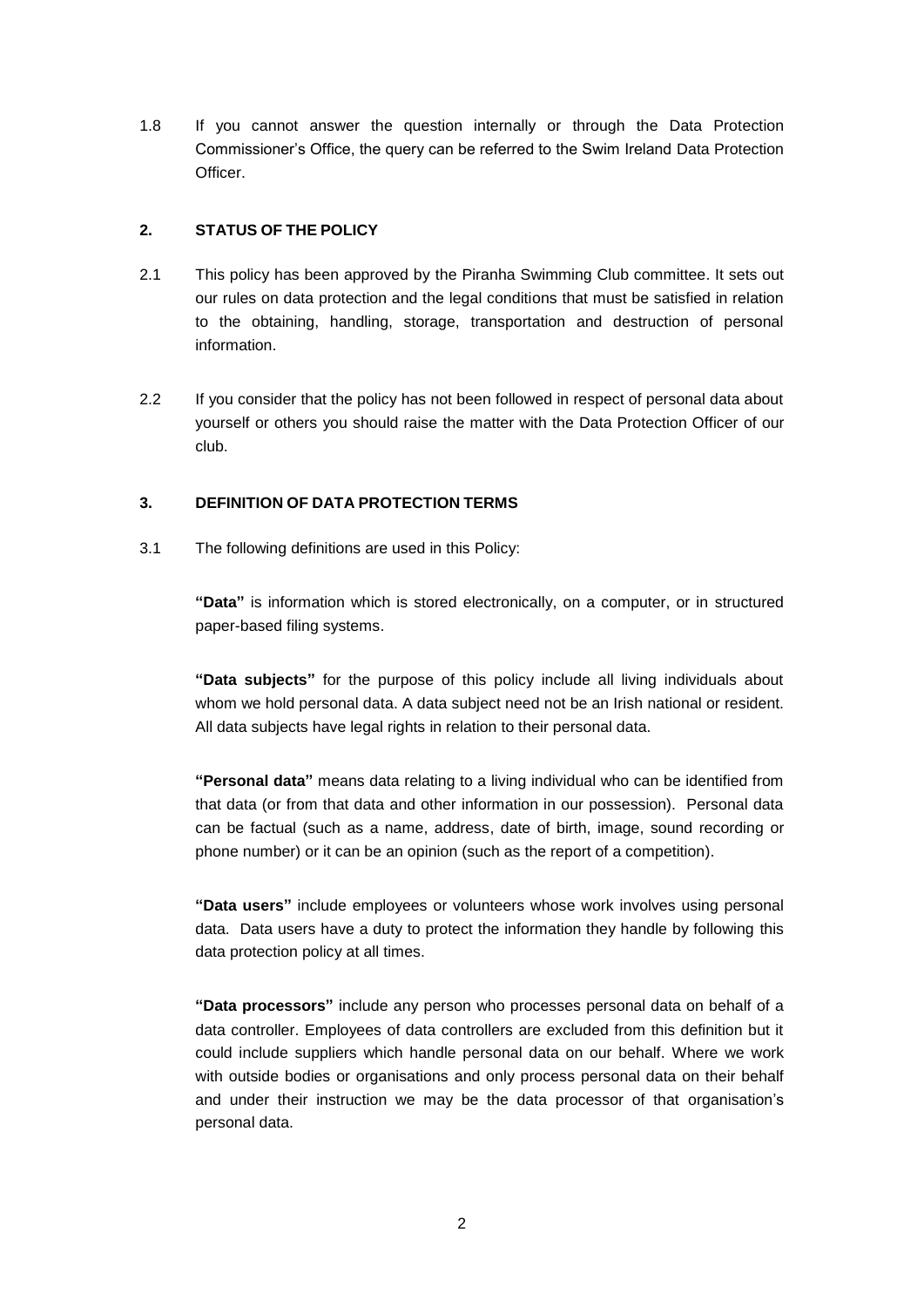1.8 If you cannot answer the question internally or through the Data Protection Commissioner's Office, the query can be referred to the Swim Ireland Data Protection Officer.

#### **2. STATUS OF THE POLICY**

- 2.1 This policy has been approved by the Piranha Swimming Club committee. It sets out our rules on data protection and the legal conditions that must be satisfied in relation to the obtaining, handling, storage, transportation and destruction of personal information.
- 2.2 If you consider that the policy has not been followed in respect of personal data about yourself or others you should raise the matter with the Data Protection Officer of our club.

#### **3. DEFINITION OF DATA PROTECTION TERMS**

3.1 The following definitions are used in this Policy:

**"Data"** is information which is stored electronically, on a computer, or in structured paper-based filing systems.

**"Data subjects"** for the purpose of this policy include all living individuals about whom we hold personal data. A data subject need not be an Irish national or resident. All data subjects have legal rights in relation to their personal data.

**"Personal data"** means data relating to a living individual who can be identified from that data (or from that data and other information in our possession). Personal data can be factual (such as a name, address, date of birth, image, sound recording or phone number) or it can be an opinion (such as the report of a competition).

**"Data users"** include employees or volunteers whose work involves using personal data. Data users have a duty to protect the information they handle by following this data protection policy at all times.

**"Data processors"** include any person who processes personal data on behalf of a data controller. Employees of data controllers are excluded from this definition but it could include suppliers which handle personal data on our behalf. Where we work with outside bodies or organisations and only process personal data on their behalf and under their instruction we may be the data processor of that organisation's personal data.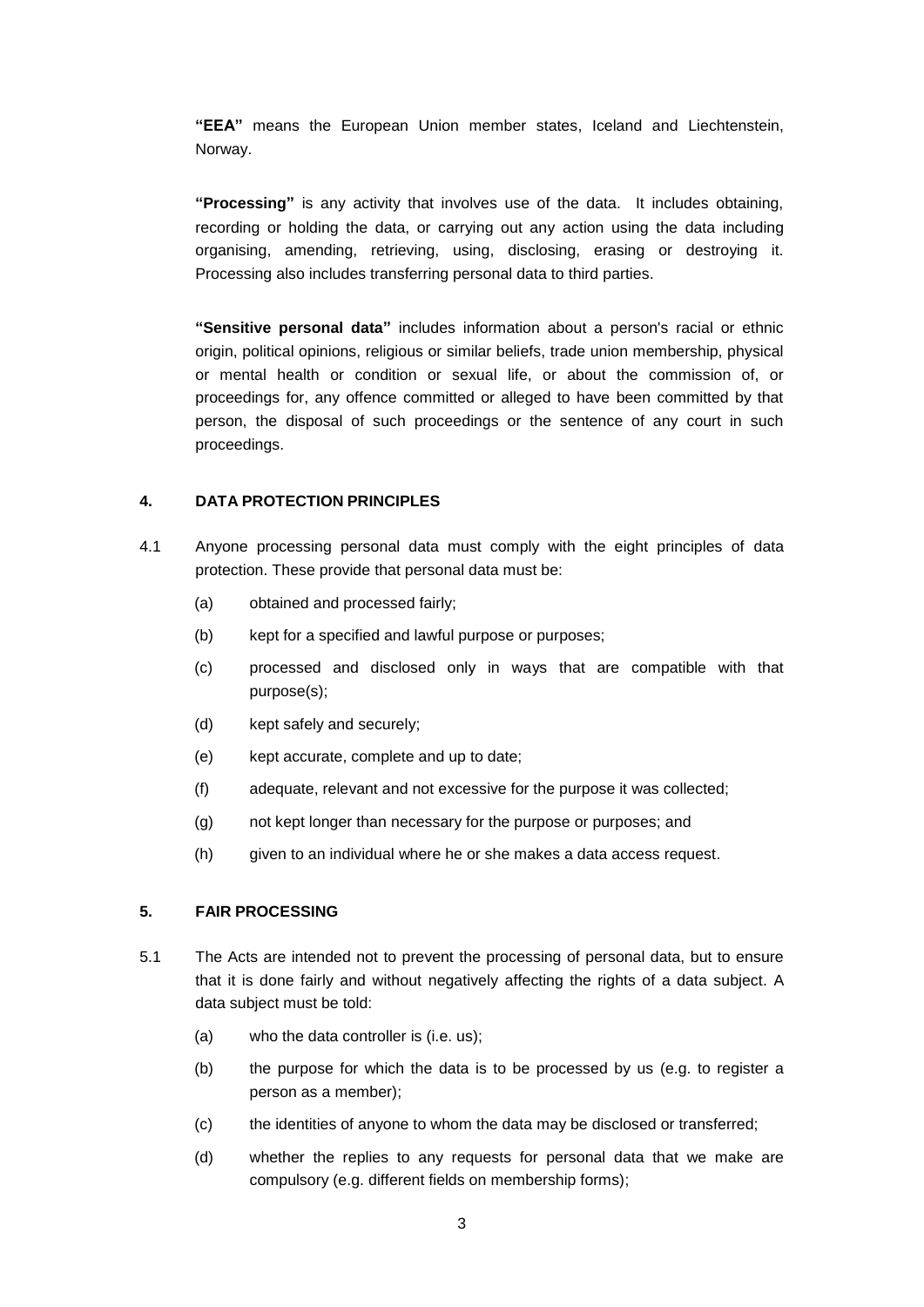**"EEA"** means the European Union member states, Iceland and Liechtenstein, Norway.

**"Processing"** is any activity that involves use of the data. It includes obtaining, recording or holding the data, or carrying out any action using the data including organising, amending, retrieving, using, disclosing, erasing or destroying it. Processing also includes transferring personal data to third parties.

**"Sensitive personal data"** includes information about a person's racial or ethnic origin, political opinions, religious or similar beliefs, trade union membership, physical or mental health or condition or sexual life, or about the commission of, or proceedings for, any offence committed or alleged to have been committed by that person, the disposal of such proceedings or the sentence of any court in such proceedings.

#### **4. DATA PROTECTION PRINCIPLES**

- 4.1 Anyone processing personal data must comply with the eight principles of data protection. These provide that personal data must be:
	- (a) obtained and processed fairly;
	- (b) kept for a specified and lawful purpose or purposes;
	- (c) processed and disclosed only in ways that are compatible with that purpose(s);
	- (d) kept safely and securely;
	- (e) kept accurate, complete and up to date;
	- (f) adequate, relevant and not excessive for the purpose it was collected;
	- (g) not kept longer than necessary for the purpose or purposes; and
	- (h) given to an individual where he or she makes a data access request.

#### **5. FAIR PROCESSING**

- 5.1 The Acts are intended not to prevent the processing of personal data, but to ensure that it is done fairly and without negatively affecting the rights of a data subject. A data subject must be told:
	- (a) who the data controller is (i.e. us);
	- (b) the purpose for which the data is to be processed by us (e.g. to register a person as a member);
	- (c) the identities of anyone to whom the data may be disclosed or transferred;
	- (d) whether the replies to any requests for personal data that we make are compulsory (e.g. different fields on membership forms);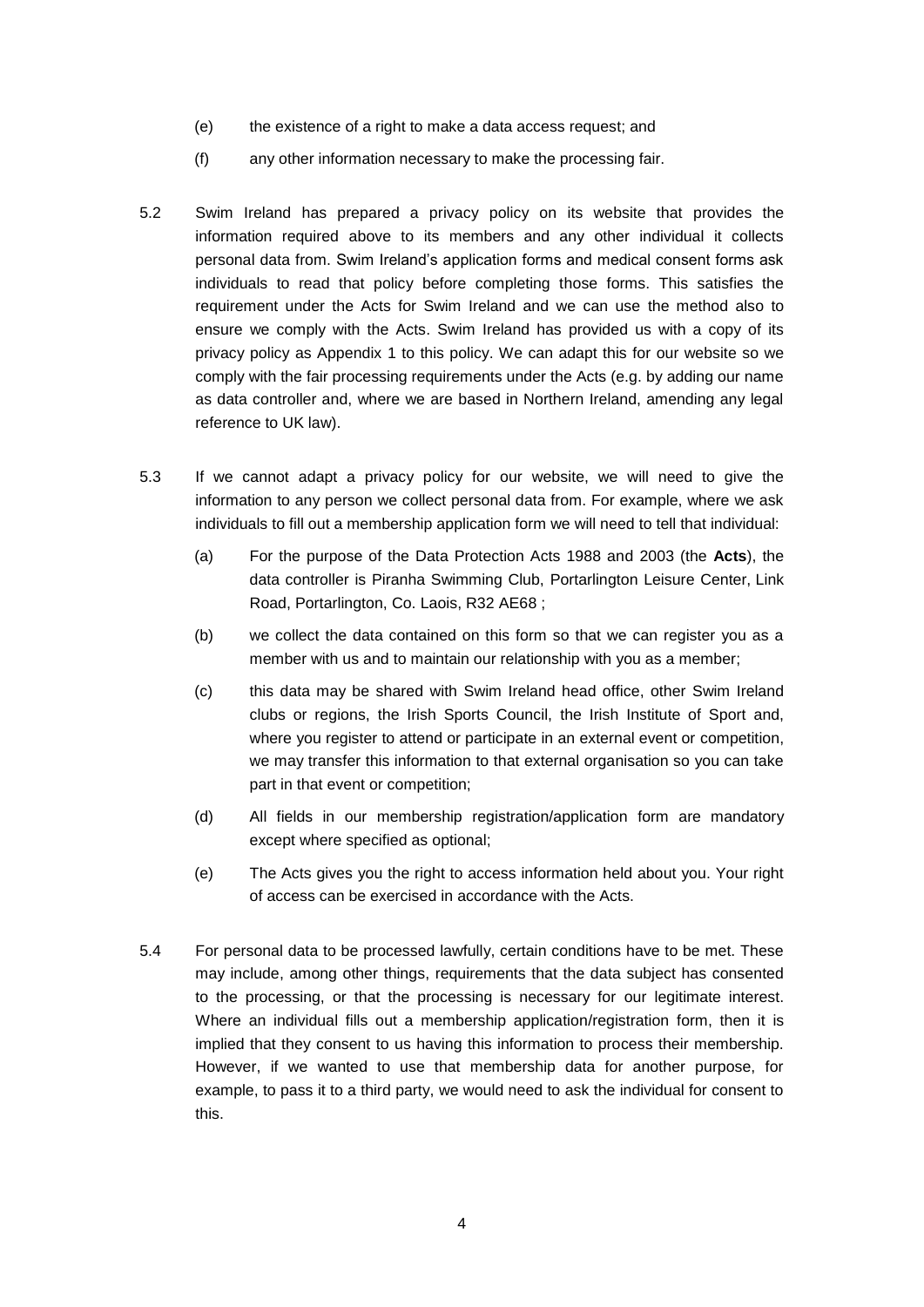- (e) the existence of a right to make a data access request; and
- (f) any other information necessary to make the processing fair.
- 5.2 Swim Ireland has prepared a privacy policy on its website that provides the information required above to its members and any other individual it collects personal data from. Swim Ireland's application forms and medical consent forms ask individuals to read that policy before completing those forms. This satisfies the requirement under the Acts for Swim Ireland and we can use the method also to ensure we comply with the Acts. Swim Ireland has provided us with a copy of its privacy policy as Appendix 1 to this policy. We can adapt this for our website so we comply with the fair processing requirements under the Acts (e.g. by adding our name as data controller and, where we are based in Northern Ireland, amending any legal reference to UK law).
- 5.3 If we cannot adapt a privacy policy for our website, we will need to give the information to any person we collect personal data from. For example, where we ask individuals to fill out a membership application form we will need to tell that individual:
	- (a) For the purpose of the Data Protection Acts 1988 and 2003 (the **Acts**), the data controller is Piranha Swimming Club, Portarlington Leisure Center, Link Road, Portarlington, Co. Laois, R32 AE68 ;
	- (b) we collect the data contained on this form so that we can register you as a member with us and to maintain our relationship with you as a member;
	- (c) this data may be shared with Swim Ireland head office, other Swim Ireland clubs or regions, the Irish Sports Council, the Irish Institute of Sport and, where you register to attend or participate in an external event or competition, we may transfer this information to that external organisation so you can take part in that event or competition;
	- (d) All fields in our membership registration/application form are mandatory except where specified as optional;
	- (e) The Acts gives you the right to access information held about you. Your right of access can be exercised in accordance with the Acts.
- 5.4 For personal data to be processed lawfully, certain conditions have to be met. These may include, among other things, requirements that the data subject has consented to the processing, or that the processing is necessary for our legitimate interest. Where an individual fills out a membership application/registration form, then it is implied that they consent to us having this information to process their membership. However, if we wanted to use that membership data for another purpose, for example, to pass it to a third party, we would need to ask the individual for consent to this.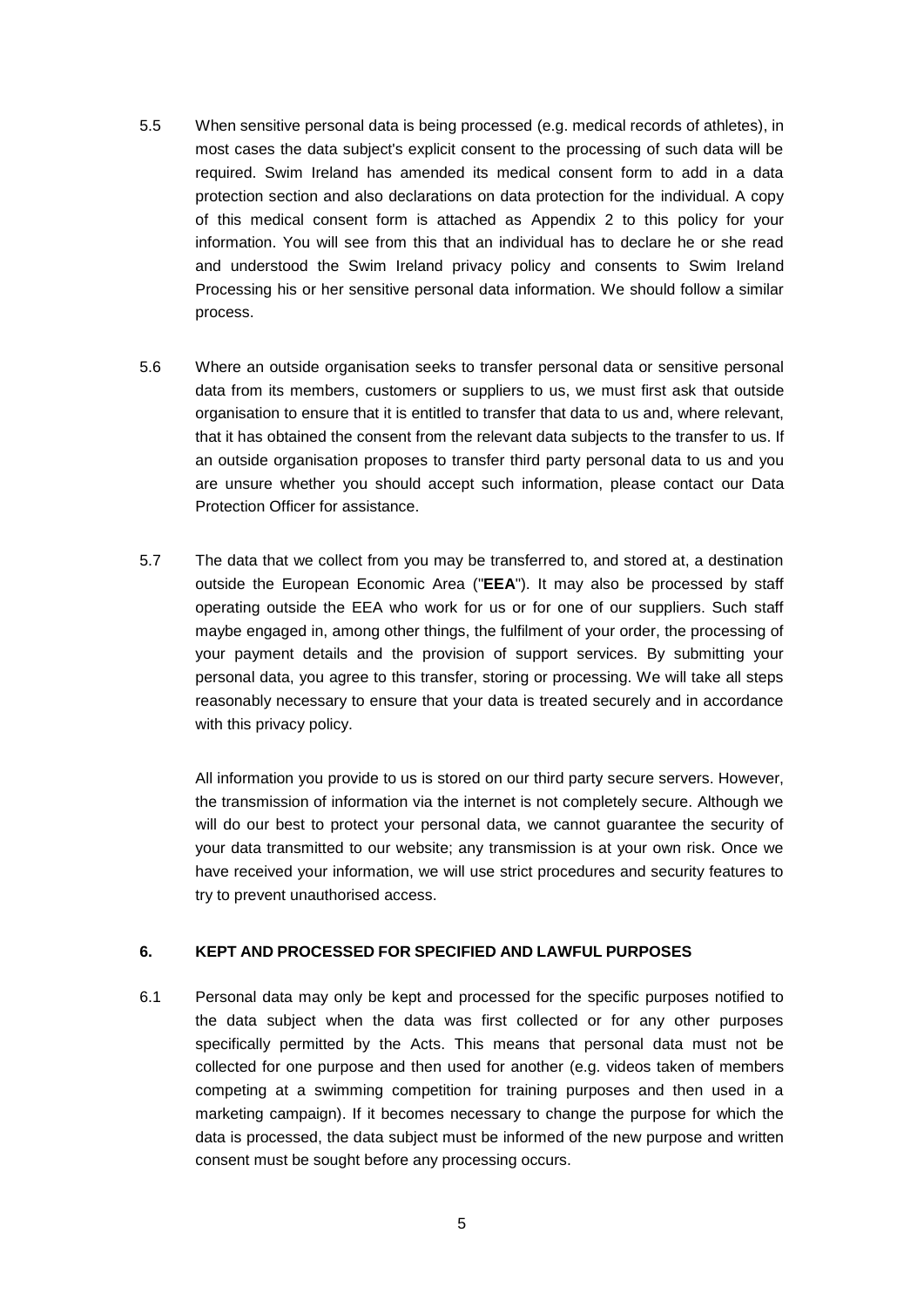- 5.5 When sensitive personal data is being processed (e.g. medical records of athletes), in most cases the data subject's explicit consent to the processing of such data will be required. Swim Ireland has amended its medical consent form to add in a data protection section and also declarations on data protection for the individual. A copy of this medical consent form is attached as Appendix 2 to this policy for your information. You will see from this that an individual has to declare he or she read and understood the Swim Ireland privacy policy and consents to Swim Ireland Processing his or her sensitive personal data information. We should follow a similar process.
- 5.6 Where an outside organisation seeks to transfer personal data or sensitive personal data from its members, customers or suppliers to us, we must first ask that outside organisation to ensure that it is entitled to transfer that data to us and, where relevant, that it has obtained the consent from the relevant data subjects to the transfer to us. If an outside organisation proposes to transfer third party personal data to us and you are unsure whether you should accept such information, please contact our Data Protection Officer for assistance.
- 5.7 The data that we collect from you may be transferred to, and stored at, a destination outside the European Economic Area ("**EEA**"). It may also be processed by staff operating outside the EEA who work for us or for one of our suppliers. Such staff maybe engaged in, among other things, the fulfilment of your order, the processing of your payment details and the provision of support services. By submitting your personal data, you agree to this transfer, storing or processing. We will take all steps reasonably necessary to ensure that your data is treated securely and in accordance with this privacy policy.

All information you provide to us is stored on our third party secure servers. However, the transmission of information via the internet is not completely secure. Although we will do our best to protect your personal data, we cannot guarantee the security of your data transmitted to our website; any transmission is at your own risk. Once we have received your information, we will use strict procedures and security features to try to prevent unauthorised access.

#### **6. KEPT AND PROCESSED FOR SPECIFIED AND LAWFUL PURPOSES**

6.1 Personal data may only be kept and processed for the specific purposes notified to the data subject when the data was first collected or for any other purposes specifically permitted by the Acts. This means that personal data must not be collected for one purpose and then used for another (e.g. videos taken of members competing at a swimming competition for training purposes and then used in a marketing campaign). If it becomes necessary to change the purpose for which the data is processed, the data subject must be informed of the new purpose and written consent must be sought before any processing occurs.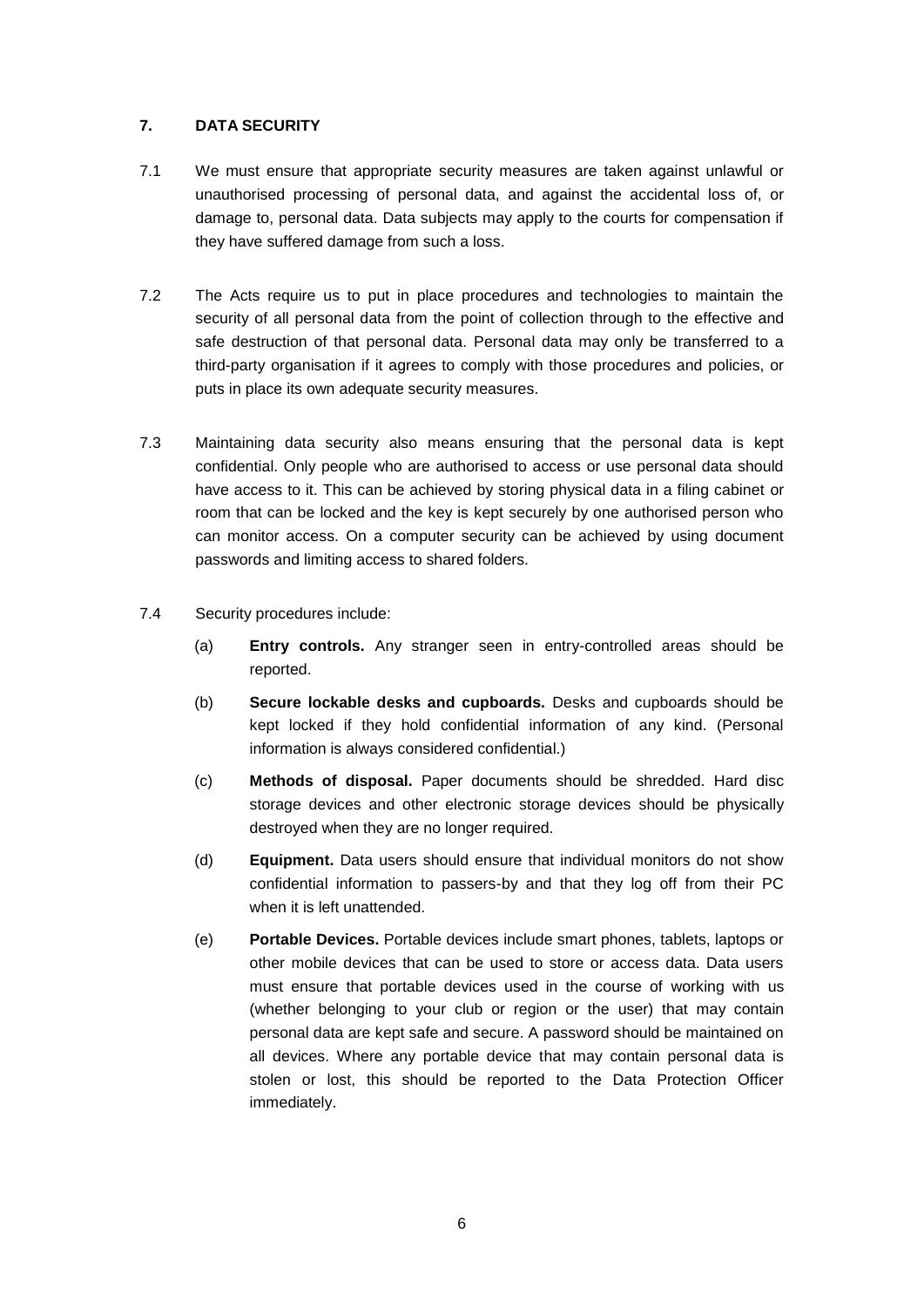#### **7. DATA SECURITY**

- 7.1 We must ensure that appropriate security measures are taken against unlawful or unauthorised processing of personal data, and against the accidental loss of, or damage to, personal data. Data subjects may apply to the courts for compensation if they have suffered damage from such a loss.
- 7.2 The Acts require us to put in place procedures and technologies to maintain the security of all personal data from the point of collection through to the effective and safe destruction of that personal data. Personal data may only be transferred to a third-party organisation if it agrees to comply with those procedures and policies, or puts in place its own adequate security measures.
- 7.3 Maintaining data security also means ensuring that the personal data is kept confidential. Only people who are authorised to access or use personal data should have access to it. This can be achieved by storing physical data in a filing cabinet or room that can be locked and the key is kept securely by one authorised person who can monitor access. On a computer security can be achieved by using document passwords and limiting access to shared folders.
- 7.4 Security procedures include:
	- (a) **Entry controls.** Any stranger seen in entry-controlled areas should be reported.
	- (b) **Secure lockable desks and cupboards.** Desks and cupboards should be kept locked if they hold confidential information of any kind. (Personal information is always considered confidential.)
	- (c) **Methods of disposal.** Paper documents should be shredded. Hard disc storage devices and other electronic storage devices should be physically destroyed when they are no longer required.
	- (d) **Equipment.** Data users should ensure that individual monitors do not show confidential information to passers-by and that they log off from their PC when it is left unattended.
	- (e) **Portable Devices.** Portable devices include smart phones, tablets, laptops or other mobile devices that can be used to store or access data. Data users must ensure that portable devices used in the course of working with us (whether belonging to your club or region or the user) that may contain personal data are kept safe and secure. A password should be maintained on all devices. Where any portable device that may contain personal data is stolen or lost, this should be reported to the Data Protection Officer immediately.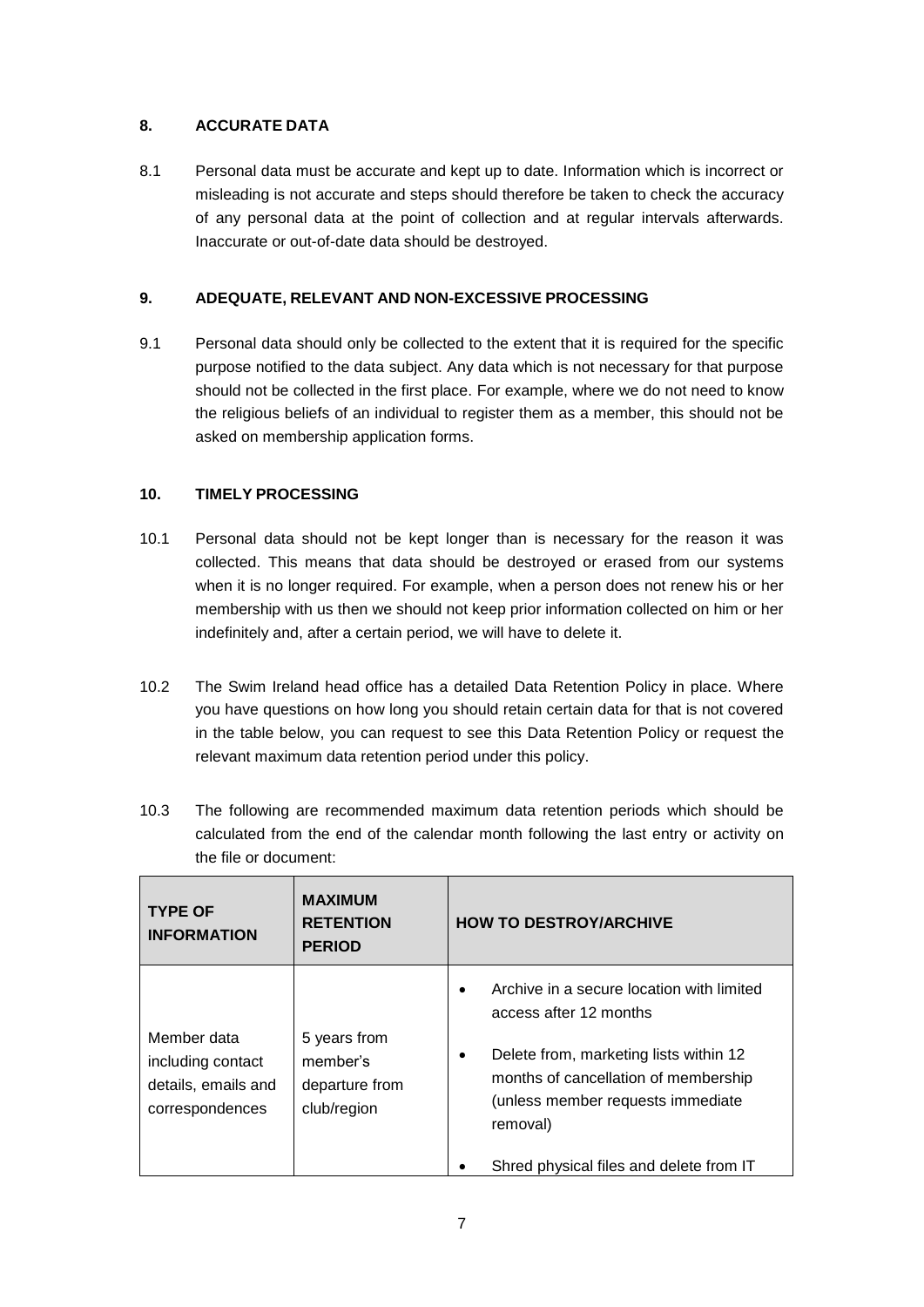#### **8. ACCURATE DATA**

8.1 Personal data must be accurate and kept up to date. Information which is incorrect or misleading is not accurate and steps should therefore be taken to check the accuracy of any personal data at the point of collection and at regular intervals afterwards. Inaccurate or out-of-date data should be destroyed.

#### **9. ADEQUATE, RELEVANT AND NON-EXCESSIVE PROCESSING**

9.1 Personal data should only be collected to the extent that it is required for the specific purpose notified to the data subject. Any data which is not necessary for that purpose should not be collected in the first place. For example, where we do not need to know the religious beliefs of an individual to register them as a member, this should not be asked on membership application forms.

#### **10. TIMELY PROCESSING**

- 10.1 Personal data should not be kept longer than is necessary for the reason it was collected. This means that data should be destroyed or erased from our systems when it is no longer required. For example, when a person does not renew his or her membership with us then we should not keep prior information collected on him or her indefinitely and, after a certain period, we will have to delete it.
- 10.2 The Swim Ireland head office has a detailed Data Retention Policy in place. Where you have questions on how long you should retain certain data for that is not covered in the table below, you can request to see this Data Retention Policy or request the relevant maximum data retention period under this policy.
- 10.3 The following are recommended maximum data retention periods which should be calculated from the end of the calendar month following the last entry or activity on the file or document:

| <b>TYPE OF</b><br><b>INFORMATION</b>                                       | <b>MAXIMUM</b><br><b>RETENTION</b><br><b>PERIOD</b>       | <b>HOW TO DESTROY/ARCHIVE</b>                                                                                                                                                                               |
|----------------------------------------------------------------------------|-----------------------------------------------------------|-------------------------------------------------------------------------------------------------------------------------------------------------------------------------------------------------------------|
| Member data<br>including contact<br>details, emails and<br>correspondences | 5 years from<br>member's<br>departure from<br>club/region | Archive in a secure location with limited<br>access after 12 months<br>Delete from, marketing lists within 12<br>٠<br>months of cancellation of membership<br>(unless member requests immediate<br>removal) |
|                                                                            |                                                           | Shred physical files and delete from IT                                                                                                                                                                     |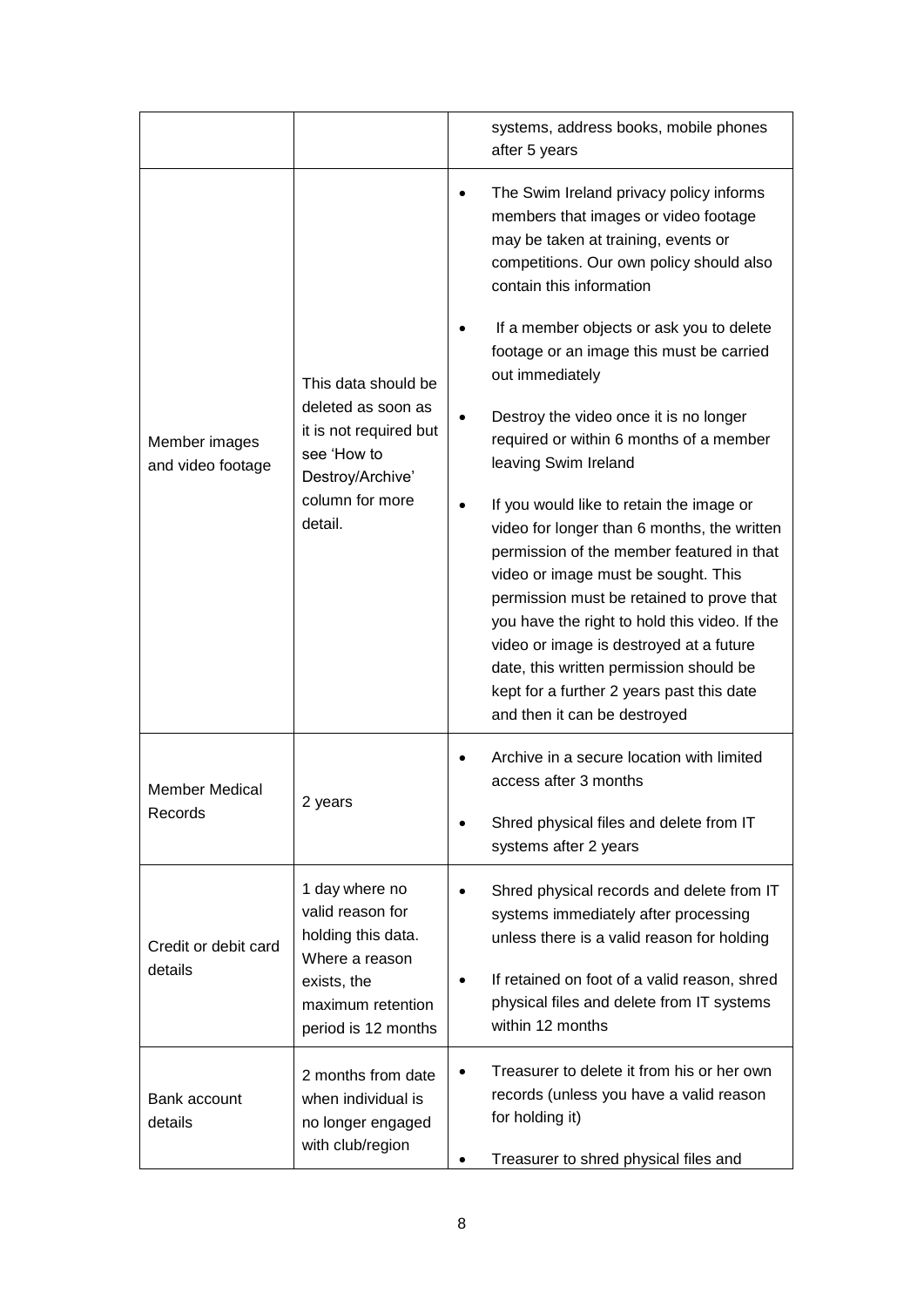|                                    |                                                                                                                                       | systems, address books, mobile phones<br>after 5 years                                                                                                                                                                                                                                                                                                                                                                                       |
|------------------------------------|---------------------------------------------------------------------------------------------------------------------------------------|----------------------------------------------------------------------------------------------------------------------------------------------------------------------------------------------------------------------------------------------------------------------------------------------------------------------------------------------------------------------------------------------------------------------------------------------|
| Member images<br>and video footage | This data should be<br>deleted as soon as<br>it is not required but<br>see 'How to<br>Destroy/Archive'<br>column for more<br>detail.  | The Swim Ireland privacy policy informs<br>members that images or video footage<br>may be taken at training, events or<br>competitions. Our own policy should also<br>contain this information                                                                                                                                                                                                                                               |
|                                    |                                                                                                                                       | If a member objects or ask you to delete<br>footage or an image this must be carried<br>out immediately                                                                                                                                                                                                                                                                                                                                      |
|                                    |                                                                                                                                       | Destroy the video once it is no longer<br>required or within 6 months of a member<br>leaving Swim Ireland                                                                                                                                                                                                                                                                                                                                    |
|                                    |                                                                                                                                       | If you would like to retain the image or<br>video for longer than 6 months, the written<br>permission of the member featured in that<br>video or image must be sought. This<br>permission must be retained to prove that<br>you have the right to hold this video. If the<br>video or image is destroyed at a future<br>date, this written permission should be<br>kept for a further 2 years past this date<br>and then it can be destroyed |
| <b>Member Medical</b><br>Records   | 2 years                                                                                                                               | Archive in a secure location with limited<br>access after 3 months                                                                                                                                                                                                                                                                                                                                                                           |
|                                    |                                                                                                                                       | Shred physical files and delete from IT<br>systems after 2 years                                                                                                                                                                                                                                                                                                                                                                             |
| Credit or debit card<br>details    | 1 day where no<br>valid reason for<br>holding this data.<br>Where a reason<br>exists, the<br>maximum retention<br>period is 12 months | Shred physical records and delete from IT<br>systems immediately after processing<br>unless there is a valid reason for holding                                                                                                                                                                                                                                                                                                              |
|                                    |                                                                                                                                       | If retained on foot of a valid reason, shred<br>physical files and delete from IT systems<br>within 12 months                                                                                                                                                                                                                                                                                                                                |
| Bank account<br>details            | 2 months from date<br>when individual is<br>no longer engaged<br>with club/region                                                     | Treasurer to delete it from his or her own<br>records (unless you have a valid reason<br>for holding it)                                                                                                                                                                                                                                                                                                                                     |
|                                    |                                                                                                                                       | Treasurer to shred physical files and                                                                                                                                                                                                                                                                                                                                                                                                        |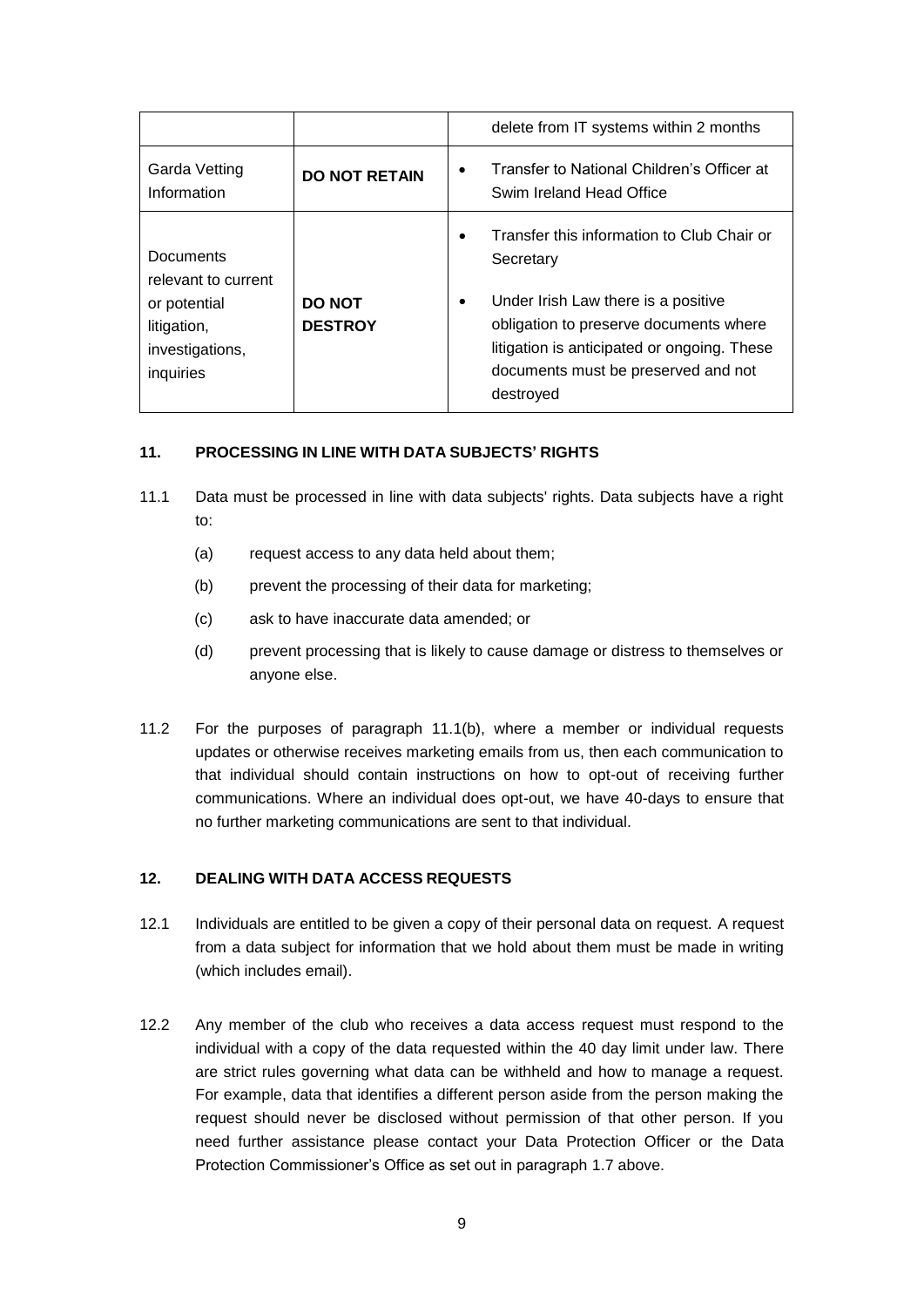|                                                                                                        |                                 | delete from IT systems within 2 months                                                                                                                                                                                                                   |
|--------------------------------------------------------------------------------------------------------|---------------------------------|----------------------------------------------------------------------------------------------------------------------------------------------------------------------------------------------------------------------------------------------------------|
| Garda Vetting<br>Information                                                                           | <b>DO NOT RETAIN</b>            | Transfer to National Children's Officer at<br>Swim Ireland Head Office                                                                                                                                                                                   |
| <b>Documents</b><br>relevant to current<br>or potential<br>litigation,<br>investigations,<br>inquiries | <b>DO NOT</b><br><b>DESTROY</b> | Transfer this information to Club Chair or<br>Secretary<br>Under Irish Law there is a positive<br>$\bullet$<br>obligation to preserve documents where<br>litigation is anticipated or ongoing. These<br>documents must be preserved and not<br>destroved |

#### **11. PROCESSING IN LINE WITH DATA SUBJECTS' RIGHTS**

- <span id="page-8-0"></span>11.1 Data must be processed in line with data subjects' rights. Data subjects have a right to:
	- (a) request access to any data held about them;
	- (b) prevent the processing of their data for marketing;
	- (c) ask to have inaccurate data amended; or
	- (d) prevent processing that is likely to cause damage or distress to themselves or anyone else.
- 11.2 For the purposes of paragraph [11.1\(b\),](#page-8-0) where a member or individual requests updates or otherwise receives marketing emails from us, then each communication to that individual should contain instructions on how to opt-out of receiving further communications. Where an individual does opt-out, we have 40-days to ensure that no further marketing communications are sent to that individual.

#### **12. DEALING WITH DATA ACCESS REQUESTS**

- 12.1 Individuals are entitled to be given a copy of their personal data on request. A request from a data subject for information that we hold about them must be made in writing (which includes email).
- 12.2 Any member of the club who receives a data access request must respond to the individual with a copy of the data requested within the 40 day limit under law. There are strict rules governing what data can be withheld and how to manage a request. For example, data that identifies a different person aside from the person making the request should never be disclosed without permission of that other person. If you need further assistance please contact your Data Protection Officer or the Data Protection Commissioner's Office as set out in paragraph [1.7](#page-0-0) above.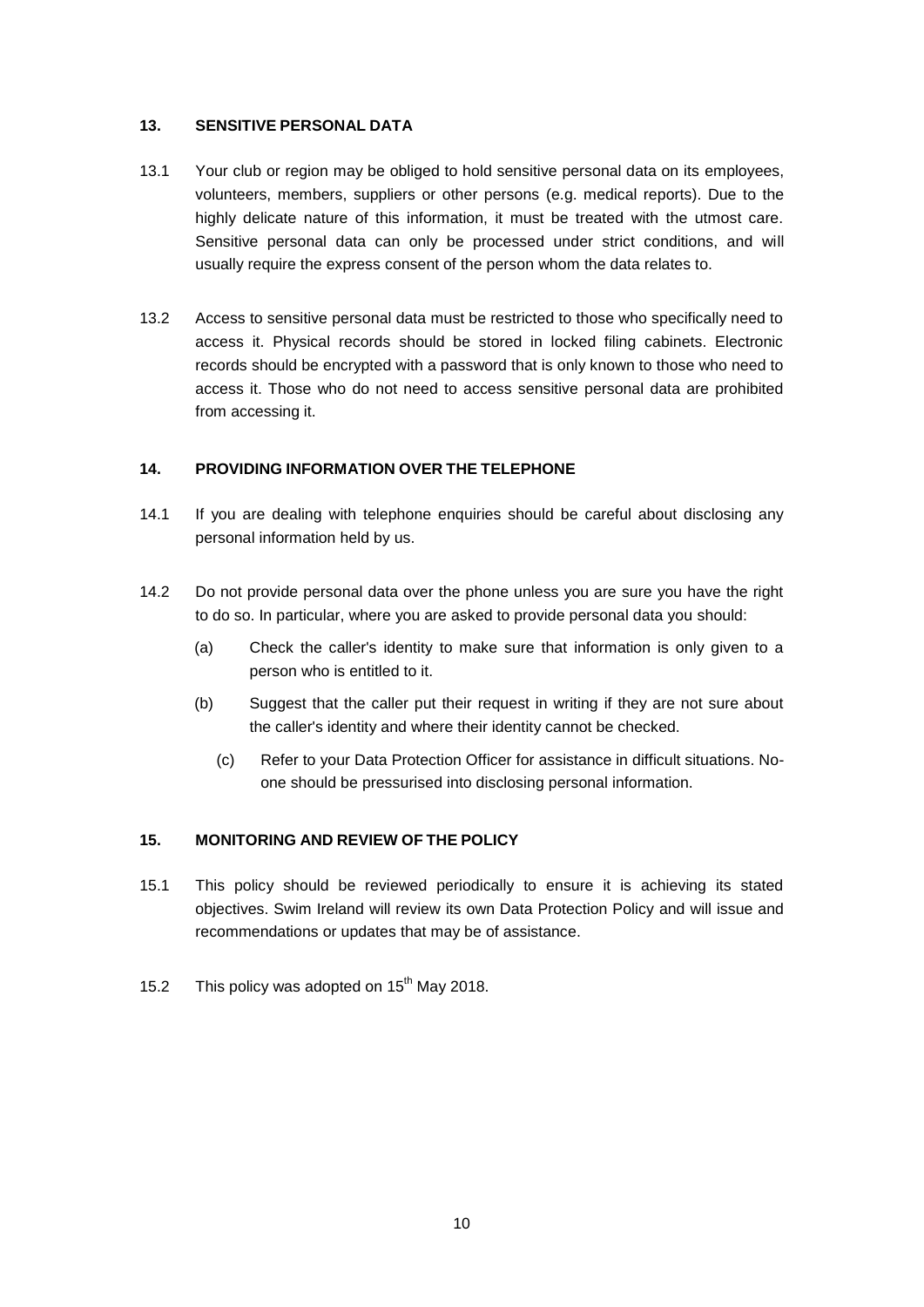#### **13. SENSITIVE PERSONAL DATA**

- 13.1 Your club or region may be obliged to hold sensitive personal data on its employees, volunteers, members, suppliers or other persons (e.g. medical reports). Due to the highly delicate nature of this information, it must be treated with the utmost care. Sensitive personal data can only be processed under strict conditions, and will usually require the express consent of the person whom the data relates to.
- 13.2 Access to sensitive personal data must be restricted to those who specifically need to access it. Physical records should be stored in locked filing cabinets. Electronic records should be encrypted with a password that is only known to those who need to access it. Those who do not need to access sensitive personal data are prohibited from accessing it.

#### **14. PROVIDING INFORMATION OVER THE TELEPHONE**

- 14.1 If you are dealing with telephone enquiries should be careful about disclosing any personal information held by us.
- 14.2 Do not provide personal data over the phone unless you are sure you have the right to do so. In particular, where you are asked to provide personal data you should:
	- (a) Check the caller's identity to make sure that information is only given to a person who is entitled to it.
	- (b) Suggest that the caller put their request in writing if they are not sure about the caller's identity and where their identity cannot be checked.
		- (c) Refer to your Data Protection Officer for assistance in difficult situations. Noone should be pressurised into disclosing personal information.

#### **15. MONITORING AND REVIEW OF THE POLICY**

- 15.1 This policy should be reviewed periodically to ensure it is achieving its stated objectives. Swim Ireland will review its own Data Protection Policy and will issue and recommendations or updates that may be of assistance.
- 15.2 This policy was adopted on 15<sup>th</sup> May 2018.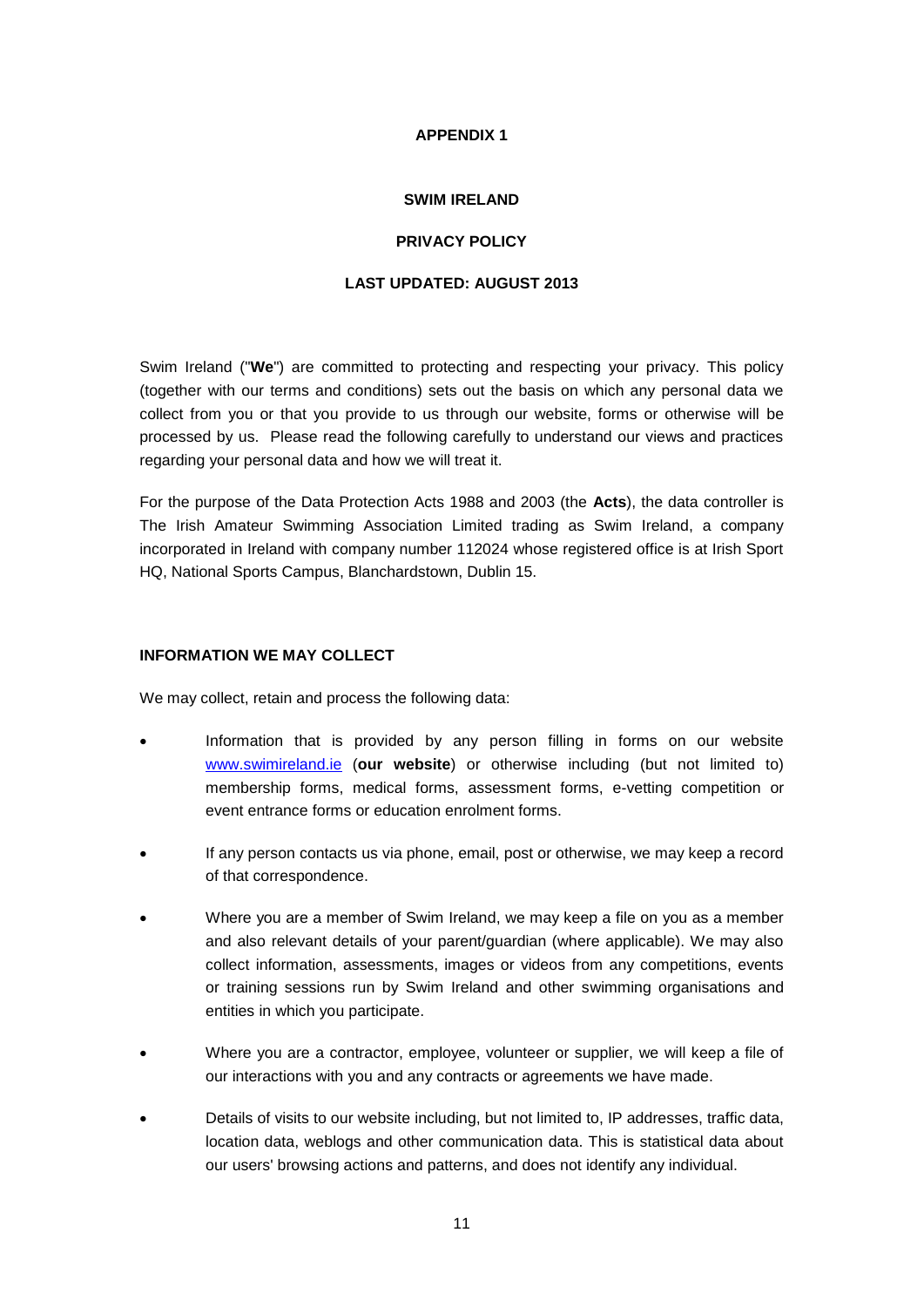#### **APPENDIX 1**

#### **SWIM IRELAND**

#### **PRIVACY POLICY**

#### **LAST UPDATED: AUGUST 2013**

Swim Ireland ("**We**") are committed to protecting and respecting your privacy. This policy (together with our terms and conditions) sets out the basis on which any personal data we collect from you or that you provide to us through our website, forms or otherwise will be processed by us. Please read the following carefully to understand our views and practices regarding your personal data and how we will treat it.

For the purpose of the Data Protection Acts 1988 and 2003 (the **Acts**), the data controller is The Irish Amateur Swimming Association Limited trading as Swim Ireland, a company incorporated in Ireland with company number 112024 whose registered office is at Irish Sport HQ, National Sports Campus, Blanchardstown, Dublin 15.

#### **INFORMATION WE MAY COLLECT**

We may collect, retain and process the following data:

- Information that is provided by any person filling in forms on our website [www.swimireland.ie](http://www.swimireland.ie/) (**our website**) or otherwise including (but not limited to) membership forms, medical forms, assessment forms, e-vetting competition or event entrance forms or education enrolment forms.
- If any person contacts us via phone, email, post or otherwise, we may keep a record of that correspondence.
- Where you are a member of Swim Ireland, we may keep a file on you as a member and also relevant details of your parent/guardian (where applicable). We may also collect information, assessments, images or videos from any competitions, events or training sessions run by Swim Ireland and other swimming organisations and entities in which you participate.
- Where you are a contractor, employee, volunteer or supplier, we will keep a file of our interactions with you and any contracts or agreements we have made.
- Details of visits to our website including, but not limited to, IP addresses, traffic data, location data, weblogs and other communication data. This is statistical data about our users' browsing actions and patterns, and does not identify any individual.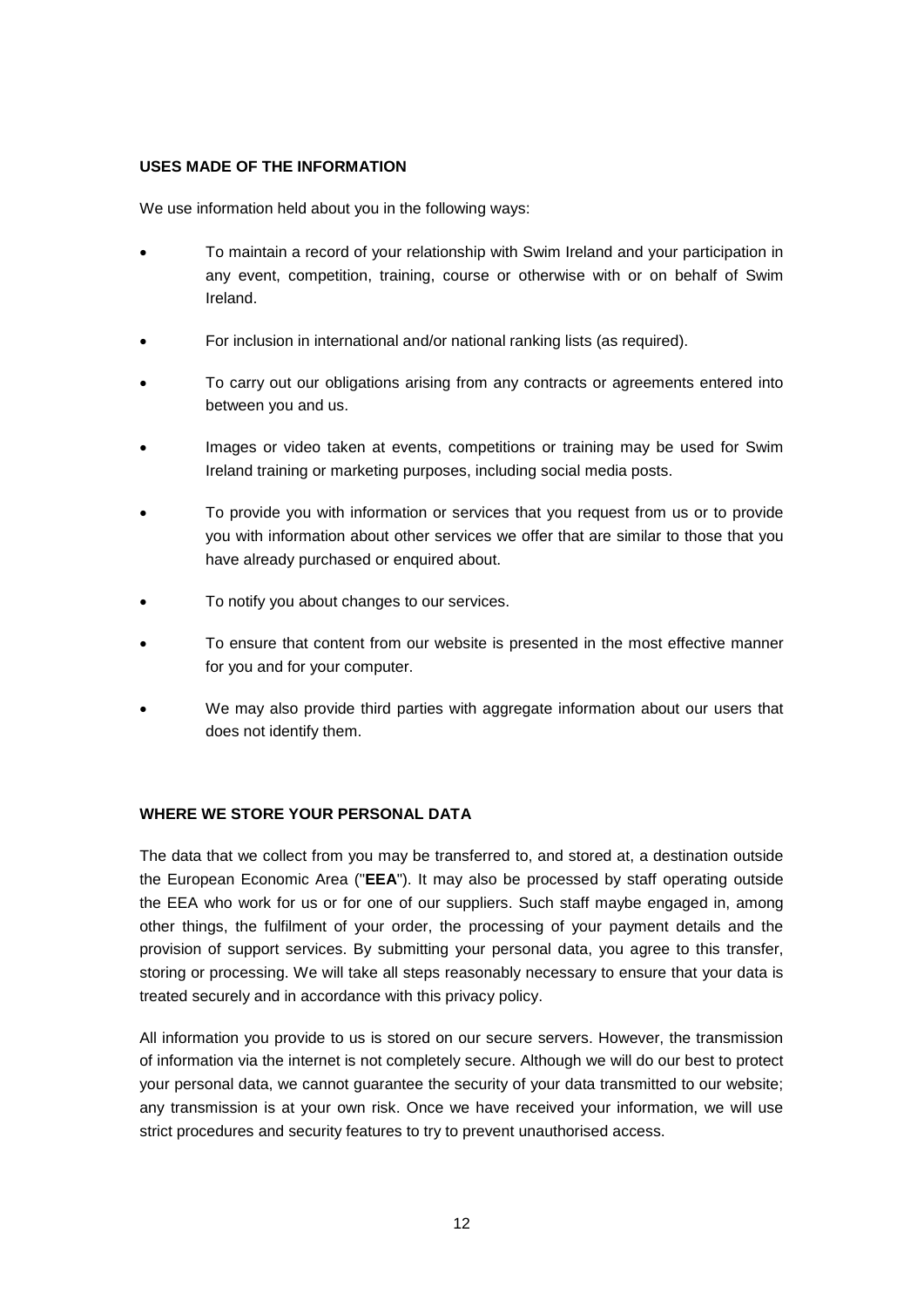#### **USES MADE OF THE INFORMATION**

We use information held about you in the following ways:

- To maintain a record of your relationship with Swim Ireland and your participation in any event, competition, training, course or otherwise with or on behalf of Swim Ireland.
- For inclusion in international and/or national ranking lists (as required).
- To carry out our obligations arising from any contracts or agreements entered into between you and us.
- Images or video taken at events, competitions or training may be used for Swim Ireland training or marketing purposes, including social media posts.
- To provide you with information or services that you request from us or to provide you with information about other services we offer that are similar to those that you have already purchased or enquired about.
- To notify you about changes to our services.
- To ensure that content from our website is presented in the most effective manner for you and for your computer.
- We may also provide third parties with aggregate information about our users that does not identify them.

#### **WHERE WE STORE YOUR PERSONAL DATA**

The data that we collect from you may be transferred to, and stored at, a destination outside the European Economic Area ("**EEA**"). It may also be processed by staff operating outside the EEA who work for us or for one of our suppliers. Such staff maybe engaged in, among other things, the fulfilment of your order, the processing of your payment details and the provision of support services. By submitting your personal data, you agree to this transfer, storing or processing. We will take all steps reasonably necessary to ensure that your data is treated securely and in accordance with this privacy policy.

All information you provide to us is stored on our secure servers. However, the transmission of information via the internet is not completely secure. Although we will do our best to protect your personal data, we cannot guarantee the security of your data transmitted to our website; any transmission is at your own risk. Once we have received your information, we will use strict procedures and security features to try to prevent unauthorised access.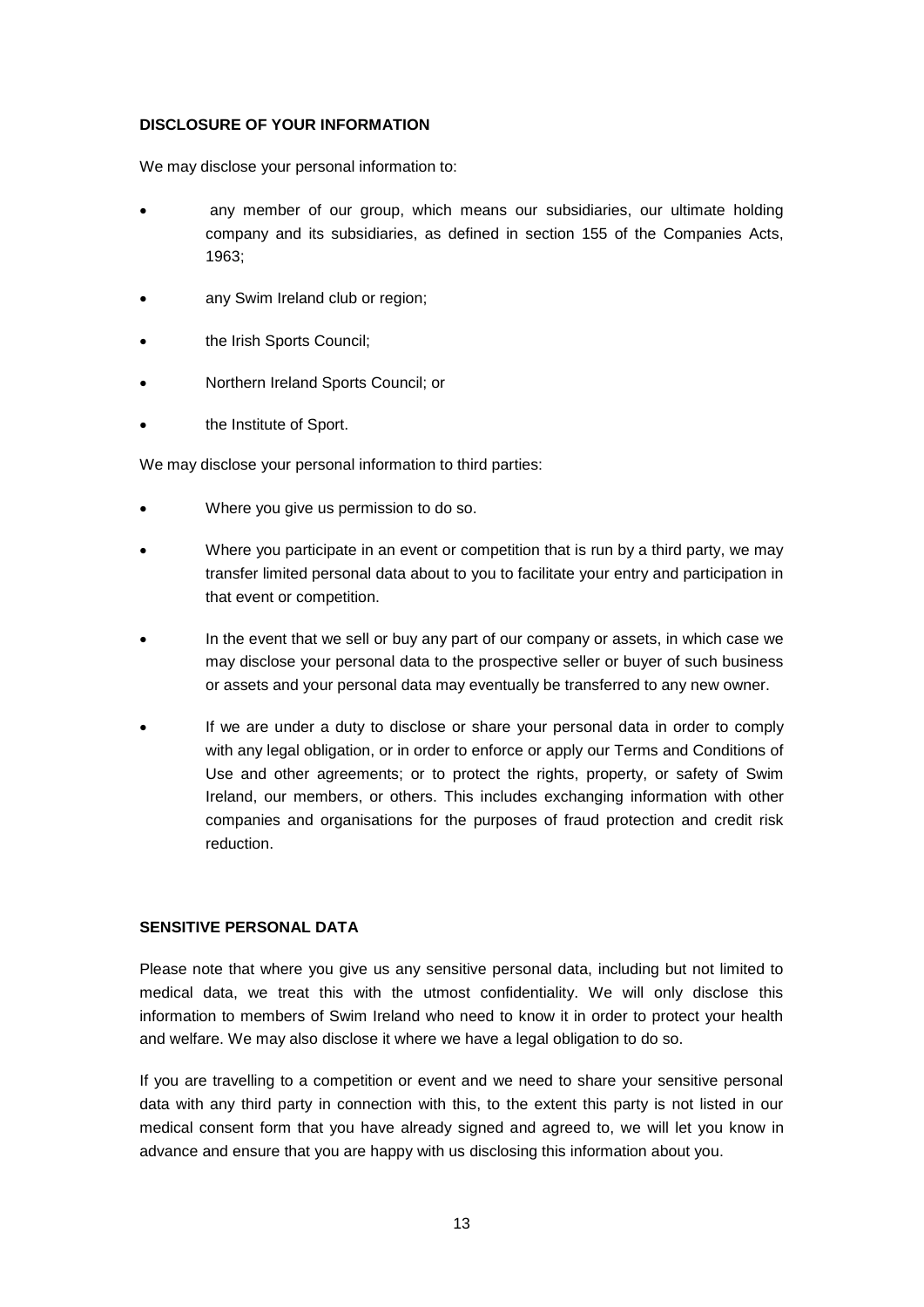#### **DISCLOSURE OF YOUR INFORMATION**

We may disclose your personal information to:

- any member of our group, which means our subsidiaries, our ultimate holding company and its subsidiaries, as defined in section 155 of the Companies Acts, 1963;
- any Swim Ireland club or region;
- the Irish Sports Council;
- Northern Ireland Sports Council; or
- the Institute of Sport.

We may disclose your personal information to third parties:

- Where you give us permission to do so.
- Where you participate in an event or competition that is run by a third party, we may transfer limited personal data about to you to facilitate your entry and participation in that event or competition.
- In the event that we sell or buy any part of our company or assets, in which case we may disclose your personal data to the prospective seller or buyer of such business or assets and your personal data may eventually be transferred to any new owner.
- If we are under a duty to disclose or share your personal data in order to comply with any legal obligation, or in order to enforce or apply our Terms and Conditions of Use and other agreements; or to protect the rights, property, or safety of Swim Ireland, our members, or others. This includes exchanging information with other companies and organisations for the purposes of fraud protection and credit risk reduction.

#### **SENSITIVE PERSONAL DATA**

Please note that where you give us any sensitive personal data, including but not limited to medical data, we treat this with the utmost confidentiality. We will only disclose this information to members of Swim Ireland who need to know it in order to protect your health and welfare. We may also disclose it where we have a legal obligation to do so.

If you are travelling to a competition or event and we need to share your sensitive personal data with any third party in connection with this, to the extent this party is not listed in our medical consent form that you have already signed and agreed to, we will let you know in advance and ensure that you are happy with us disclosing this information about you.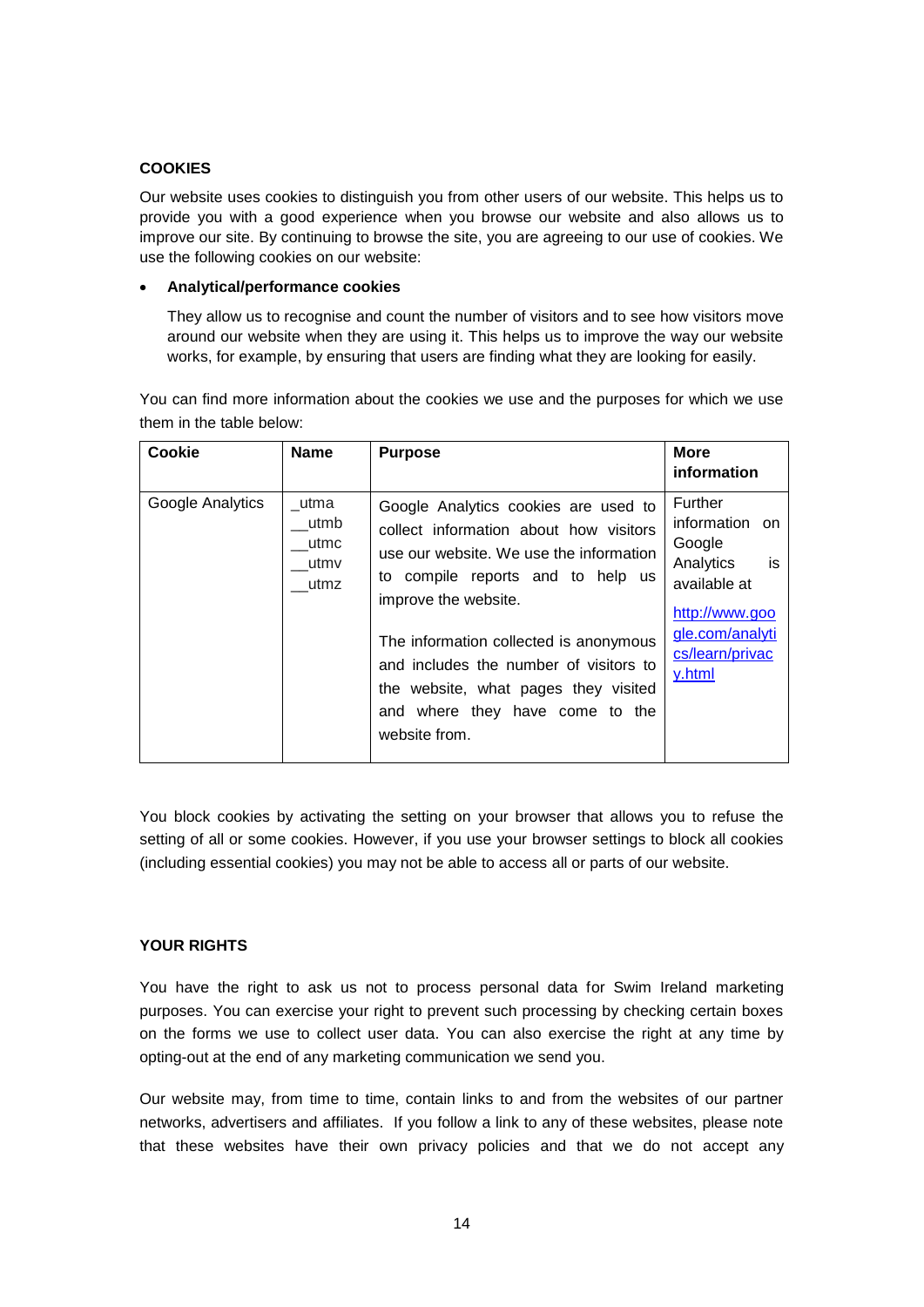#### **COOKIES**

Our website uses cookies to distinguish you from other users of our website. This helps us to provide you with a good experience when you browse our website and also allows us to improve our site. By continuing to browse the site, you are agreeing to our use of cookies. We use the following cookies on our website:

#### **Analytical/performance cookies**

They allow us to recognise and count the number of visitors and to see how visitors move around our website when they are using it. This helps us to improve the way our website works, for example, by ensuring that users are finding what they are looking for easily.

You can find more information about the cookies we use and the purposes for which we use them in the table below:

| Cookie           | <b>Name</b>                          | <b>Purpose</b>                                                                                                                                                                                                                                                                                                                                                         | <b>More</b><br>information                                                                                                               |
|------------------|--------------------------------------|------------------------------------------------------------------------------------------------------------------------------------------------------------------------------------------------------------------------------------------------------------------------------------------------------------------------------------------------------------------------|------------------------------------------------------------------------------------------------------------------------------------------|
| Google Analytics | utma<br>utmb<br>utmc<br>utmv<br>utmz | Google Analytics cookies are used to<br>collect information about how visitors<br>use our website. We use the information<br>to compile reports and to help us<br>improve the website.<br>The information collected is anonymous<br>and includes the number of visitors to<br>the website, what pages they visited<br>and where they have come to the<br>website from. | Further<br>information on<br>Google<br>is<br>Analytics<br>available at<br>http://www.goo<br>gle.com/analyti<br>cs/learn/privac<br>y.html |

You block cookies by activating the setting on your browser that allows you to refuse the setting of all or some cookies. However, if you use your browser settings to block all cookies (including essential cookies) you may not be able to access all or parts of our website.

#### **YOUR RIGHTS**

You have the right to ask us not to process personal data for Swim Ireland marketing purposes. You can exercise your right to prevent such processing by checking certain boxes on the forms we use to collect user data. You can also exercise the right at any time by opting-out at the end of any marketing communication we send you.

Our website may, from time to time, contain links to and from the websites of our partner networks, advertisers and affiliates. If you follow a link to any of these websites, please note that these websites have their own privacy policies and that we do not accept any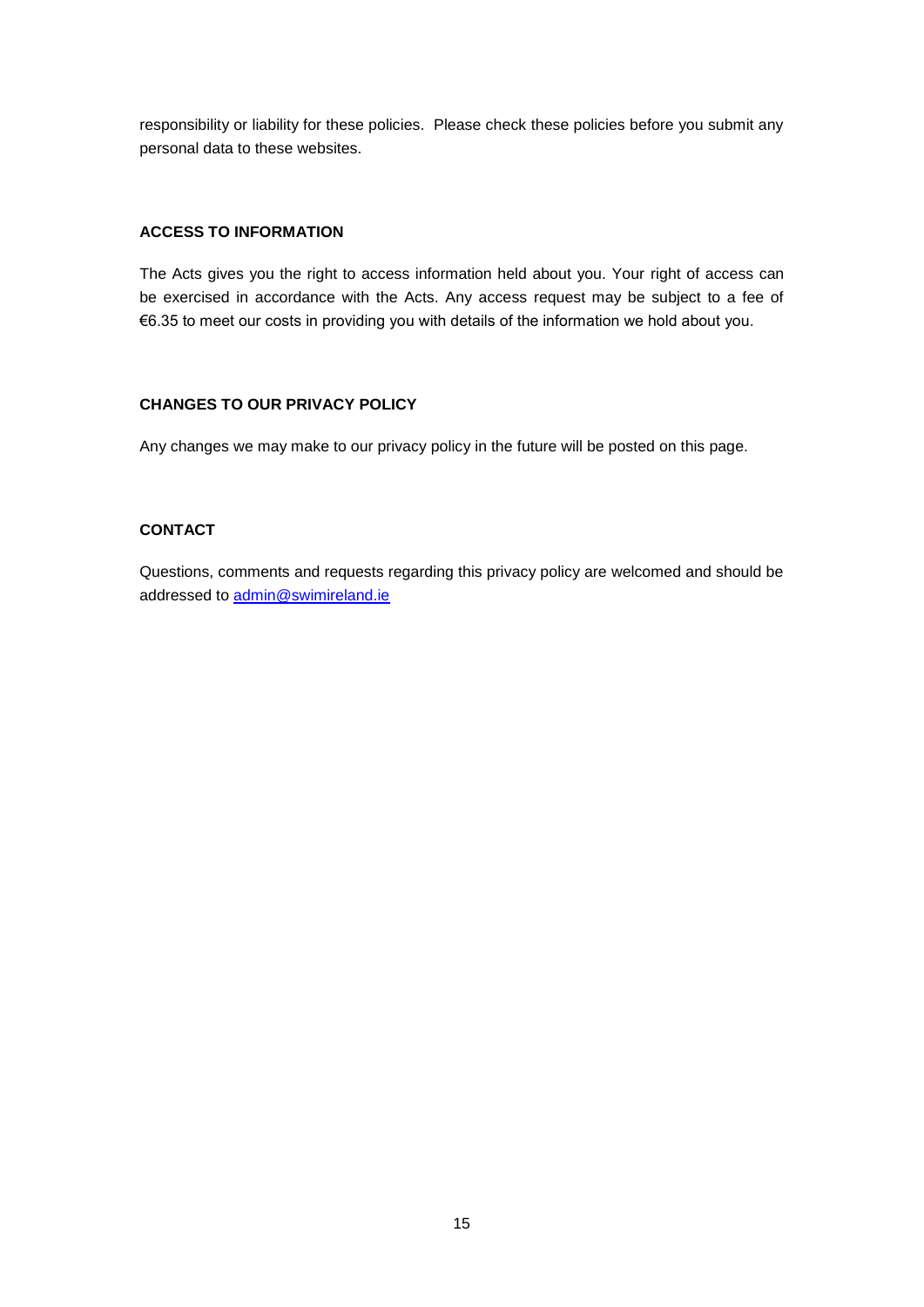responsibility or liability for these policies. Please check these policies before you submit any personal data to these websites.

#### **ACCESS TO INFORMATION**

The Acts gives you the right to access information held about you. Your right of access can be exercised in accordance with the Acts. Any access request may be subject to a fee of €6.35 to meet our costs in providing you with details of the information we hold about you.

#### **CHANGES TO OUR PRIVACY POLICY**

Any changes we may make to our privacy policy in the future will be posted on this page.

#### **CONTACT**

Questions, comments and requests regarding this privacy policy are welcomed and should be addressed to [admin@swimireland.ie](mailto:admin@swimireland.ie)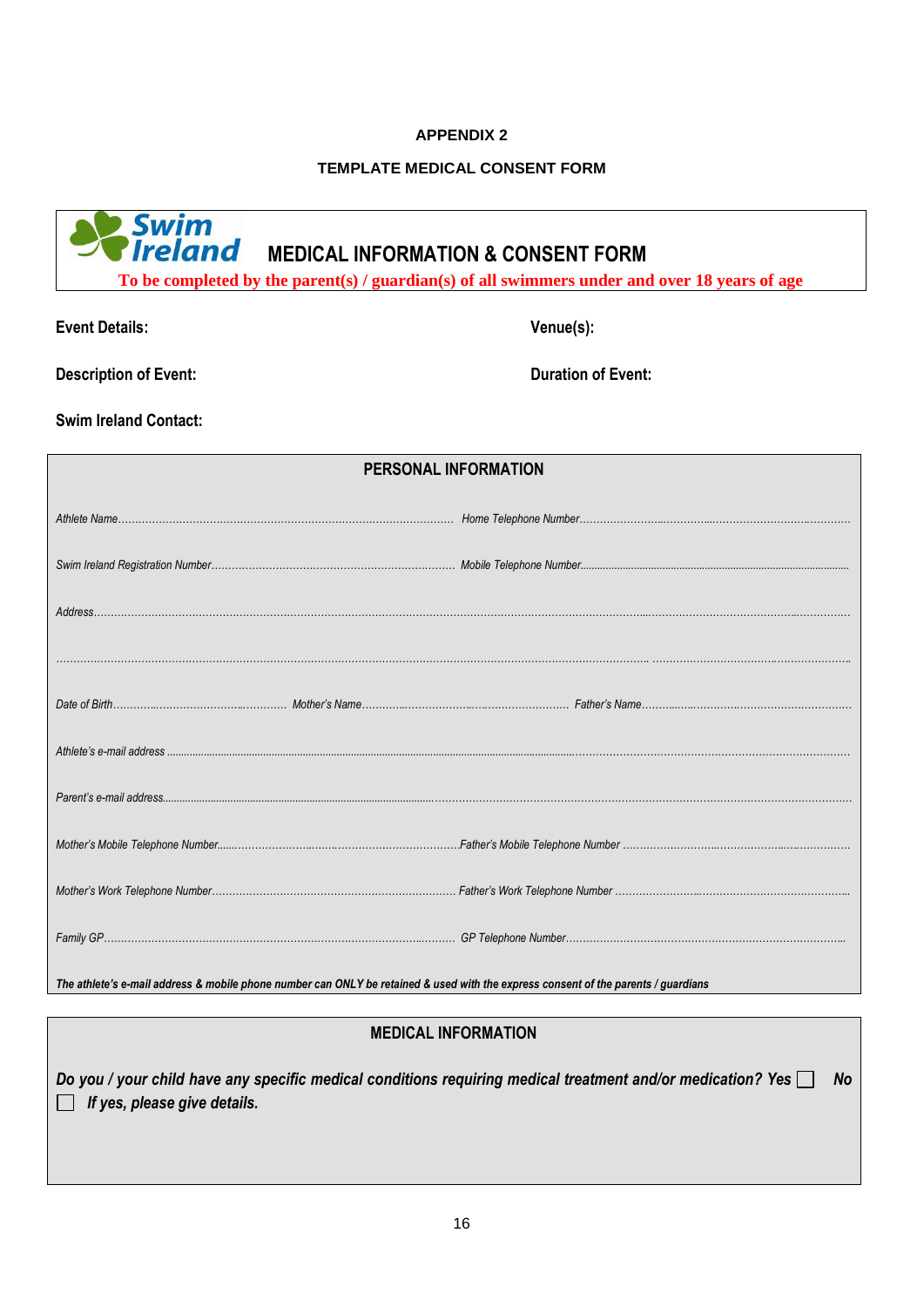#### **APPENDIX 2**

#### **TEMPLATE MEDICAL CONSENT FORM**

# **Swim**<br>**Pireland** MEDICAL INFORMATION & CONSENT FORM

**To be completed by the parent(s) / guardian(s) of all swimmers under and over 18 years of age**

**Event Details: Venue(s):**

**Description of Event: Duration of Event:**

**Swim Ireland Contact:**

| PERSONAL INFORMATION |  |                                                                                                                                    |
|----------------------|--|------------------------------------------------------------------------------------------------------------------------------------|
|                      |  |                                                                                                                                    |
|                      |  |                                                                                                                                    |
|                      |  |                                                                                                                                    |
|                      |  |                                                                                                                                    |
|                      |  |                                                                                                                                    |
|                      |  |                                                                                                                                    |
|                      |  |                                                                                                                                    |
|                      |  |                                                                                                                                    |
|                      |  |                                                                                                                                    |
|                      |  |                                                                                                                                    |
|                      |  | The athlete's e-mail address & mobile phone number can ONLY be retained & used with the express consent of the parents / guardians |

## **MEDICAL INFORMATION**

*Do you / your child have any specific medical conditions requiring medical treatment and/or medication? Yes No If yes, please give details.*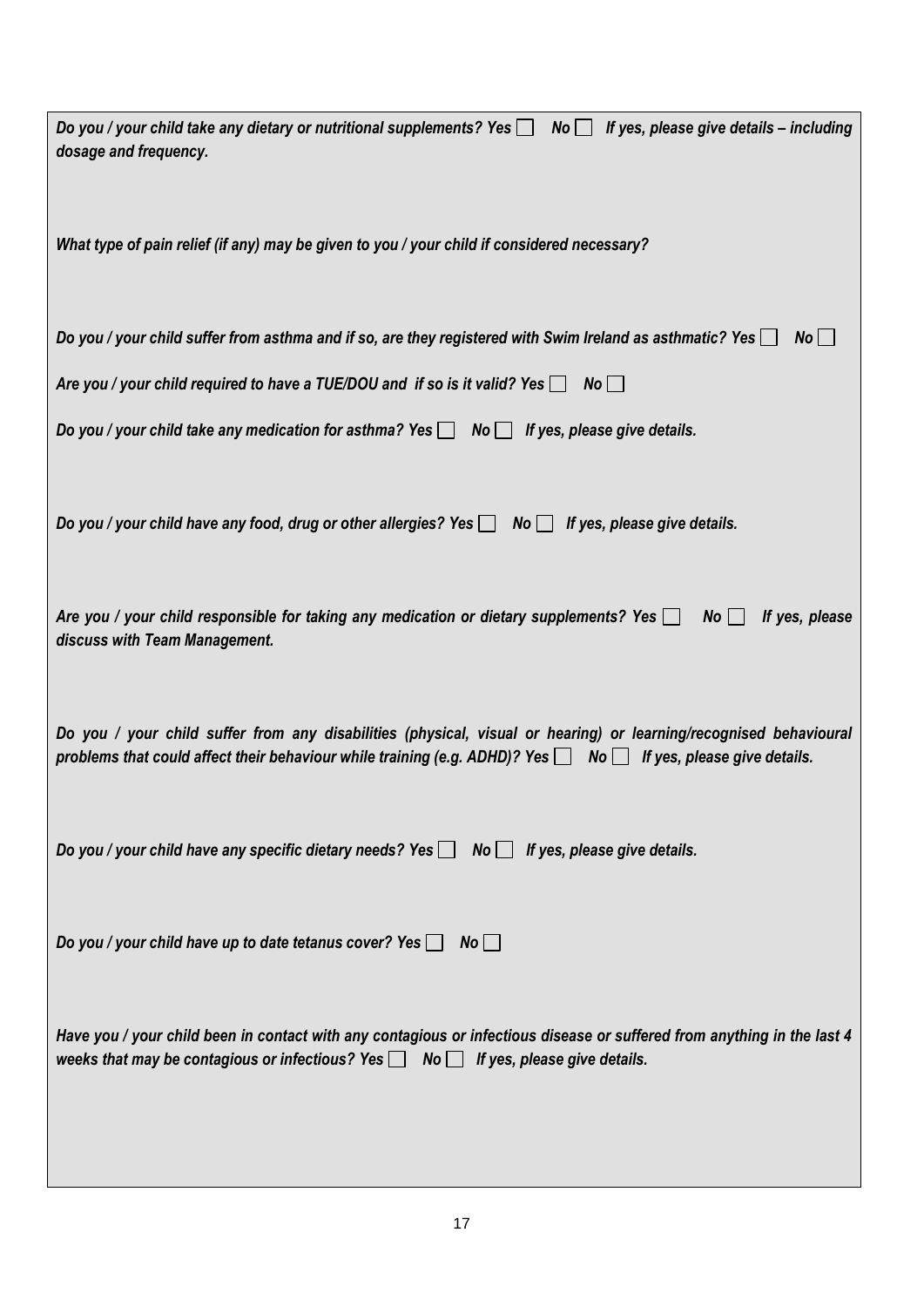| Do you / your child take any dietary or nutritional supplements? Yes \[ No \] If yes, please give details – including<br>dosage and frequency.                                                                                                |
|-----------------------------------------------------------------------------------------------------------------------------------------------------------------------------------------------------------------------------------------------|
| What type of pain relief (if any) may be given to you / your child if considered necessary?                                                                                                                                                   |
| Do you / your child suffer from asthma and if so, are they registered with Swim Ireland as asthmatic? Yes $\Box$<br>No                                                                                                                        |
| Are you / your child required to have a TUE/DOU and if so is it valid? Yes $\Box$ No $\Box$                                                                                                                                                   |
| Do you / your child take any medication for asthma? Yes $\Box$ No $\Box$ If yes, please give details.                                                                                                                                         |
| Do you / your child have any food, drug or other allergies? Yes $\Box$ No $\Box$<br>If yes, please give details.                                                                                                                              |
| Are you / your child responsible for taking any medication or dietary supplements? Yes $\Box$<br>$No$    <br>If yes, please<br>discuss with Team Management.                                                                                  |
| Do you / your child suffer from any disabilities (physical, visual or hearing) or learning/recognised behavioural<br>problems that could affect their behaviour while training (e.g. ADHD)? Yes $\Box$ No $\Box$ If yes, please give details. |
| Do you / your child have any specific dietary needs? Yes $\Box$ No $\Box$ If yes, please give details.                                                                                                                                        |
| Do you / your child have up to date tetanus cover? Yes $\Box$<br>$No \Box$                                                                                                                                                                    |
| Have you / your child been in contact with any contagious or infectious disease or suffered from anything in the last 4<br>weeks that may be contagious or infectious? Yes $\Box$ No $\Box$ If yes, please give details.                      |
|                                                                                                                                                                                                                                               |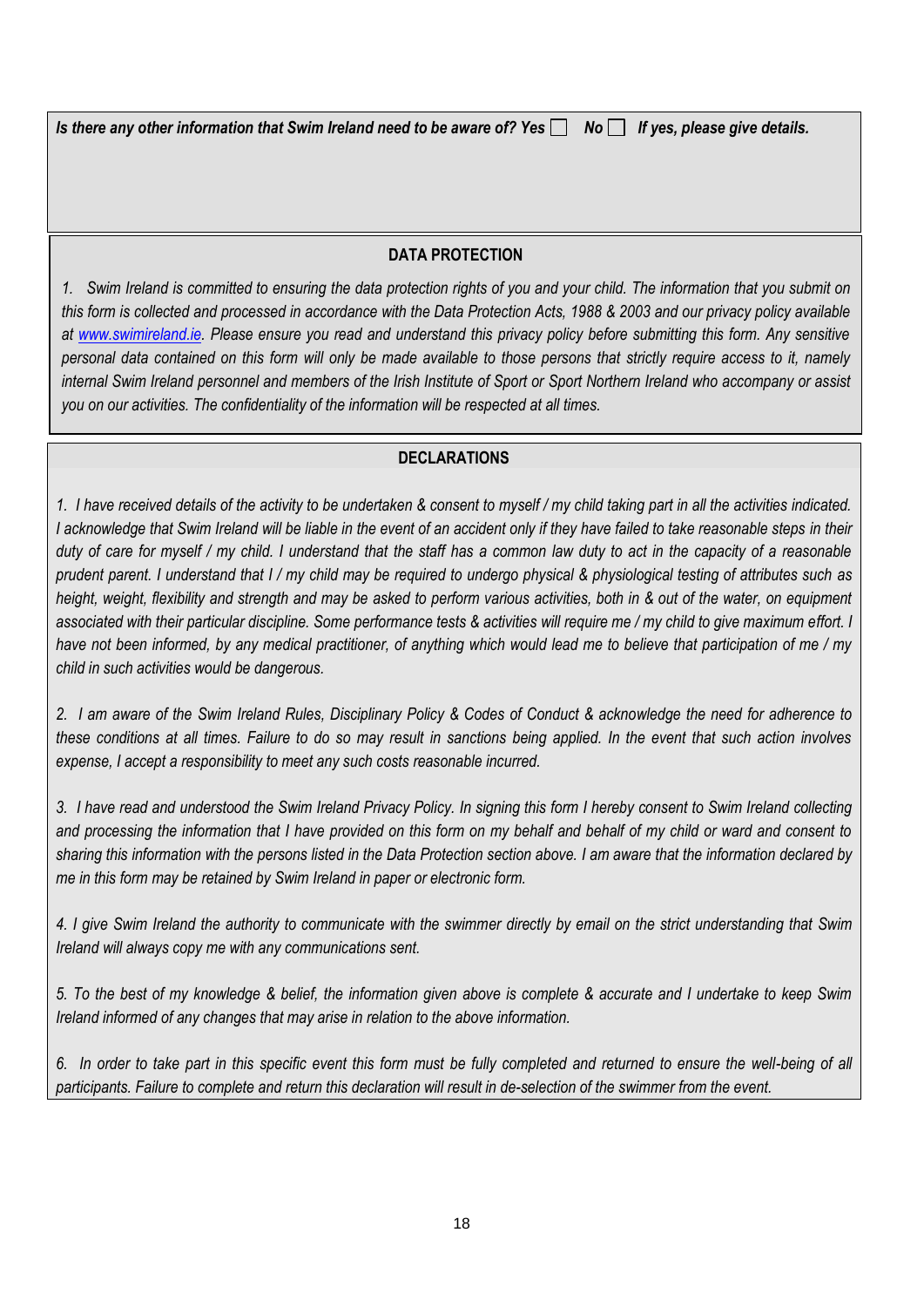*Is there any other information that Swim Ireland need to be aware of? Yes* No I If yes, please give details.

### **DATA PROTECTION**

*1. Swim Ireland is committed to ensuring the data protection rights of you and your child. The information that you submit on this form is collected and processed in accordance with the Data Protection Acts, 1988 & 2003 and our privacy policy available at [www.swimireland.ie.](http://www.swimireland.ie/) Please ensure you read and understand this privacy policy before submitting this form. Any sensitive personal data contained on this form will only be made available to those persons that strictly require access to it, namely internal Swim Ireland personnel and members of the Irish Institute of Sport or Sport Northern Ireland who accompany or assist you on our activities. The confidentiality of the information will be respected at all times.*

#### **DECLARATIONS** *2. All information submitted with this form will be stored and destroyed in accordance with Swim Ireland's internal Data*

1. I have received details of the activity to be undertaken & consent to myself / my child taking part in all the activities indicated. *I acknowledge that Swim Ireland will be liable in the event of an accident only if they have failed to take reasonable steps in their duty of care for myself / my child. I understand that the staff has a common law duty to act in the capacity of a reasonable prudent parent. I understand that I / my child may be required to undergo physical & physiological testing of attributes such as height, weight, flexibility and strength and may be asked to perform various activities, both in & out of the water, on equipment associated with their particular discipline. Some performance tests & activities will require me / my child to give maximum effort. I have not been informed, by any medical practitioner, of anything which would lead me to believe that participation of me / my child in such activities would be dangerous.*

*2. I am aware of the Swim Ireland Rules, Disciplinary Policy & Codes of Conduct & acknowledge the need for adherence to these conditions at all times. Failure to do so may result in sanctions being applied. In the event that such action involves expense, I accept a responsibility to meet any such costs reasonable incurred.*

*3. I have read and understood the Swim Ireland Privacy Policy. In signing this form I hereby consent to Swim Ireland collecting and processing the information that I have provided on this form on my behalf and behalf of my child or ward and consent to sharing this information with the persons listed in the Data Protection section above. I am aware that the information declared by me in this form may be retained by Swim Ireland in paper or electronic form.*

*4. I give Swim Ireland the authority to communicate with the swimmer directly by email on the strict understanding that Swim Ireland will always copy me with any communications sent.*

*5. To the best of my knowledge & belief, the information given above is complete & accurate and I undertake to keep Swim Ireland informed of any changes that may arise in relation to the above information.*

*6. In order to take part in this specific event this form must be fully completed and returned to ensure the well-being of all participants. Failure to complete and return this declaration will result in de-selection of the swimmer from the event.*